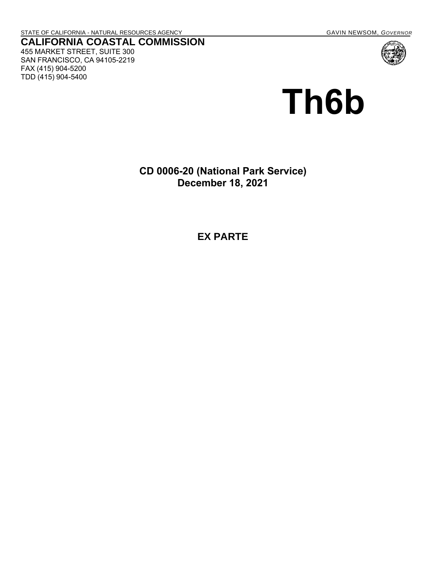455 MARKET STREET, SUITE 300 SAN FRANCISCO, CA 94105-2219

FAX (415) 904-5200 TDD (415) 904-5400

# **Th6b**

**CD 0006-20 (National Park Service) December 18, 2021**

**EX PARTE**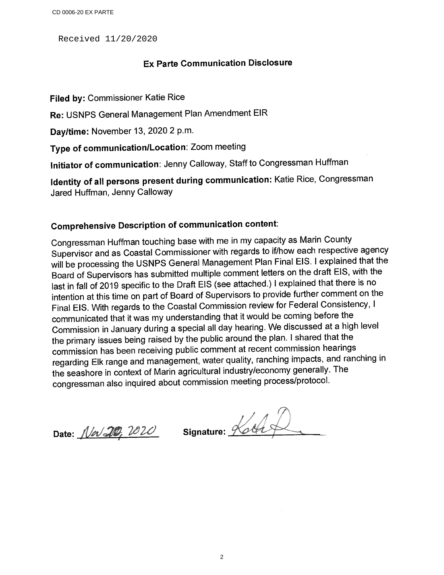Received 11/20/2020

### **Ex Parte Communication Disclosure**

Filed by: Commissioner Katie Rice

Re: USNPS General Management Plan Amendment EIR

Day/time: November 13, 2020 2 p.m.

Type of communication/Location: Zoom meeting

Initiator of communication: Jenny Calloway, Staff to Congressman Huffman

Identity of all persons present during communication: Katie Rice, Congressman Jared Huffman, Jenny Calloway

## **Comprehensive Description of communication content:**

Congressman Huffman touching base with me in my capacity as Marin County Supervisor and as Coastal Commissioner with regards to if/how each respective agency will be processing the USNPS General Management Plan Final EIS. I explained that the Board of Supervisors has submitted multiple comment letters on the draft EIS, with the last in fall of 2019 specific to the Draft EIS (see attached.) I explained that there is no intention at this time on part of Board of Supervisors to provide further comment on the Final EIS. With regards to the Coastal Commission review for Federal Consistency, I communicated that it was my understanding that it would be coming before the Commission in January during a special all day hearing. We discussed at a high level the primary issues being raised by the public around the plan. I shared that the commission has been receiving public comment at recent commission hearings regarding Elk range and management, water quality, ranching impacts, and ranching in the seashore in context of Marin agricultural industry/economy generally. The congressman also inquired about commission meeting process/protocol.

Date: Nev 20, 2020

Signature: Koth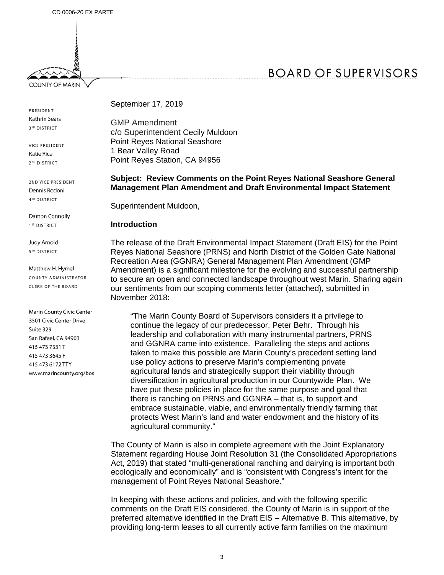

**COUNTY OF MARIN** 

PRESIDENT **Kathrin Sears** 3RD DISTRICT

VICE PRESIDENT Katie Rice 2<sup>ND</sup> DISTRICT

2ND VICE PRESIDENT Dennis Rodoni 4TH DISTRICT

Damon Connolly 1<sup>ST</sup> DISTRICT

Judy Arnold **5TH DISTRICT** 

Matthew H. Hymel COUNTY ADMINISTRATOR CLERK OF THE BOARD

Marin County Civic Center 3501 Civic Center Drive Suite 329 San Rafael, CA 94903 415 473 7331 T 415 473 3645 F 415 473 6172 TTY www.marincounty.org/bos September 17, 2019

GMP Amendment c/o Superintendent Cecily Muldoon Point Reyes National Seashore 1 Bear Valley Road Point Reyes Station, CA 94956

#### **Subject: Review Comments on the Point Reyes National Seashore General Management Plan Amendment and Draft Environmental Impact Statement**

Superintendent Muldoon,

#### **Introduction**

The release of the Draft Environmental Impact Statement (Draft EIS) for the Point Reyes National Seashore (PRNS) and North District of the Golden Gate National Recreation Area (GGNRA) General Management Plan Amendment (GMP Amendment) is a significant milestone for the evolving and successful partnership to secure an open and connected landscape throughout west Marin. Sharing again our sentiments from our scoping comments letter (attached), submitted in November 2018:

"The Marin County Board of Supervisors considers it a privilege to continue the legacy of our predecessor, Peter Behr. Through his leadership and collaboration with many instrumental partners, PRNS and GGNRA came into existence. Paralleling the steps and actions taken to make this possible are Marin County's precedent setting land use policy actions to preserve Marin's complementing private agricultural lands and strategically support their viability through diversification in agricultural production in our Countywide Plan. We have put these policies in place for the same purpose and goal that there is ranching on PRNS and GGNRA – that is, to support and embrace sustainable, viable, and environmentally friendly farming that protects West Marin's land and water endowment and the history of its agricultural community."

The County of Marin is also in complete agreement with the Joint Explanatory Statement regarding House Joint Resolution 31 (the Consolidated Appropriations Act, 2019) that stated "multi-generational ranching and dairying is important both ecologically and economically" and is "consistent with Congress's intent for the management of Point Reyes National Seashore."

In keeping with these actions and policies, and with the following specific comments on the Draft EIS considered, the County of Marin is in support of the preferred alternative identified in the Draft EIS – Alternative B. This alternative, by providing long-term leases to all currently active farm families on the maximum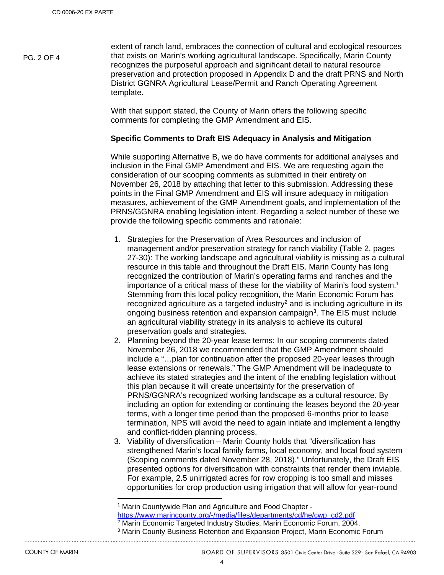PG. 2 OF 4

extent of ranch land, embraces the connection of cultural and ecological resources that exists on Marin's working agricultural landscape. Specifically, Marin County recognizes the purposeful approach and significant detail to natural resource preservation and protection proposed in Appendix D and the draft PRNS and North District GGNRA Agricultural Lease/Permit and Ranch Operating Agreement template.

With that support stated, the County of Marin offers the following specific comments for completing the GMP Amendment and EIS.

#### **Specific Comments to Draft EIS Adequacy in Analysis and Mitigation**

While supporting Alternative B, we do have comments for additional analyses and inclusion in the Final GMP Amendment and EIS. We are requesting again the consideration of our scooping comments as submitted in their entirety on November 26, 2018 by attaching that letter to this submission. Addressing these points in the Final GMP Amendment and EIS will insure adequacy in mitigation measures, achievement of the GMP Amendment goals, and implementation of the PRNS/GGNRA enabling legislation intent. Regarding a select number of these we provide the following specific comments and rationale:

- 1. Strategies for the Preservation of Area Resources and inclusion of management and/or preservation strategy for ranch viability (Table 2, pages 27-30): The working landscape and agricultural viability is missing as a cultural resource in this table and throughout the Draft EIS. Marin County has long recognized the contribution of Marin's operating farms and ranches and the importance of a critical mass of these for the viability of Marin's food system.1 Stemming from this local policy recognition, the Marin Economic Forum has recognized agriculture as a targeted industry<sup>2</sup> and is including agriculture in its ongoing business retention and expansion campaign<sup>3</sup>. The EIS must include an agricultural viability strategy in its analysis to achieve its cultural preservation goals and strategies.
- 2. Planning beyond the 20-year lease terms: In our scoping comments dated November 26, 2018 we recommended that the GMP Amendment should include a "…plan for continuation after the proposed 20-year leases through lease extensions or renewals." The GMP Amendment will be inadequate to achieve its stated strategies and the intent of the enabling legislation without this plan because it will create uncertainty for the preservation of PRNS/GGNRA's recognized working landscape as a cultural resource. By including an option for extending or continuing the leases beyond the 20-year terms, with a longer time period than the proposed 6-months prior to lease termination, NPS will avoid the need to again initiate and implement a lengthy and conflict-ridden planning process.
- 3. Viability of diversification Marin County holds that "diversification has strengthened Marin's local family farms, local economy, and local food system (Scoping comments dated November 28, 2018)." Unfortunately, the Draft EIS presented options for diversification with constraints that render them inviable. For example, 2.5 unirrigated acres for row cropping is too small and misses opportunities for crop production using irrigation that will allow for year-round

<sup>1</sup> Marin Countywide Plan and Agriculture and Food Chapter -<br>https://www.marincounty.org/-/media/files/departments/cd/he/cwp\_cd2.pdf

<sup>2</sup> Marin Economic Targeted Industry Studies, Marin Economic Forum, 2004.

3 Marin County Business Retention and Expansion Project, Marin Economic Forum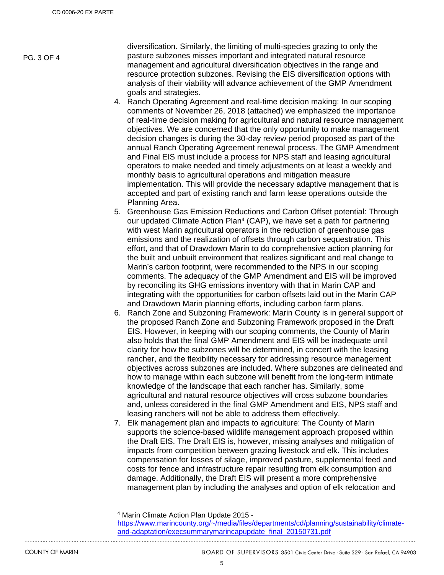PG. 3 OF 4

diversification. Similarly, the limiting of multi-species grazing to only the pasture subzones misses important and integrated natural resource management and agricultural diversification objectives in the range and resource protection subzones. Revising the EIS diversification options with analysis of their viability will advance achievement of the GMP Amendment goals and strategies.

- 4. Ranch Operating Agreement and real-time decision making: In our scoping comments of November 26, 2018 (attached) we emphasized the importance of real-time decision making for agricultural and natural resource management objectives. We are concerned that the only opportunity to make management decision changes is during the 30-day review period proposed as part of the annual Ranch Operating Agreement renewal process. The GMP Amendment and Final EIS must include a process for NPS staff and leasing agricultural operators to make needed and timely adjustments on at least a weekly and monthly basis to agricultural operations and mitigation measure implementation. This will provide the necessary adaptive management that is accepted and part of existing ranch and farm lease operations outside the Planning Area.
- 5. Greenhouse Gas Emission Reductions and Carbon Offset potential: Through our updated Climate Action Plan<sup>4</sup> (CAP), we have set a path for partnering with west Marin agricultural operators in the reduction of greenhouse gas emissions and the realization of offsets through carbon sequestration. This effort, and that of Drawdown Marin to do comprehensive action planning for the built and unbuilt environment that realizes significant and real change to Marin's carbon footprint, were recommended to the NPS in our scoping comments. The adequacy of the GMP Amendment and EIS will be improved by reconciling its GHG emissions inventory with that in Marin CAP and integrating with the opportunities for carbon offsets laid out in the Marin CAP and Drawdown Marin planning efforts, including carbon farm plans.
- 6. Ranch Zone and Subzoning Framework: Marin County is in general support of the proposed Ranch Zone and Subzoning Framework proposed in the Draft EIS. However, in keeping with our scoping comments, the County of Marin also holds that the final GMP Amendment and EIS will be inadequate until clarity for how the subzones will be determined, in concert with the leasing rancher, and the flexibility necessary for addressing resource management objectives across subzones are included. Where subzones are delineated and how to manage within each subzone will benefit from the long-term intimate knowledge of the landscape that each rancher has. Similarly, some agricultural and natural resource objectives will cross subzone boundaries and, unless considered in the final GMP Amendment and EIS, NPS staff and leasing ranchers will not be able to address them effectively.
- 7. Elk management plan and impacts to agriculture: The County of Marin supports the science-based wildlife management approach proposed within the Draft EIS. The Draft EIS is, however, missing analyses and mitigation of impacts from competition between grazing livestock and elk. This includes compensation for losses of silage, improved pasture, supplemental feed and costs for fence and infrastructure repair resulting from elk consumption and damage. Additionally, the Draft EIS will present a more comprehensive management plan by including the analyses and option of elk relocation and

<sup>4</sup> Marin Climate Action Plan Update 2015 -

https://www.marincounty.org/~/media/files/departments/cd/planning/sustainability/climateand-adaptation/execsummarymarincapupdate\_final\_20150731.pdf